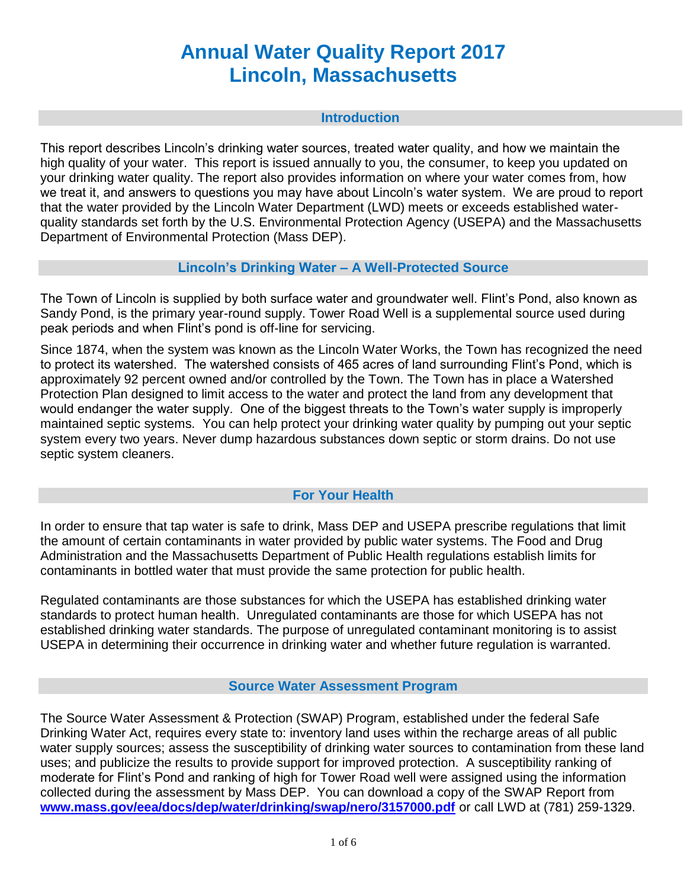# **Annual Water Quality Report 2017 Lincoln, Massachusetts**

#### **Introduction**

This report describes Lincoln's drinking water sources, treated water quality, and how we maintain the high quality of your water. This report is issued annually to you, the consumer, to keep you updated on your drinking water quality. The report also provides information on where your water comes from, how we treat it, and answers to questions you may have about Lincoln's water system. We are proud to report that the water provided by the Lincoln Water Department (LWD) meets or exceeds established waterquality standards set forth by the U.S. Environmental Protection Agency (USEPA) and the Massachusetts Department of Environmental Protection (Mass DEP).

## **Lincoln's Drinking Water – A Well-Protected Source**

The Town of Lincoln is supplied by both surface water and groundwater well. Flint's Pond, also known as Sandy Pond, is the primary year-round supply. Tower Road Well is a supplemental source used during peak periods and when Flint's pond is off-line for servicing.

Since 1874, when the system was known as the Lincoln Water Works, the Town has recognized the need to protect its watershed. The watershed consists of 465 acres of land surrounding Flint's Pond, which is approximately 92 percent owned and/or controlled by the Town. The Town has in place a Watershed Protection Plan designed to limit access to the water and protect the land from any development that would endanger the water supply. One of the biggest threats to the Town's water supply is improperly maintained septic systems. You can help protect your drinking water quality by pumping out your septic system every two years. Never dump hazardous substances down septic or storm drains. Do not use septic system cleaners.

# **For Your Health**

In order to ensure that tap water is safe to drink, Mass DEP and USEPA prescribe regulations that limit the amount of certain contaminants in water provided by public water systems. The Food and Drug Administration and the Massachusetts Department of Public Health regulations establish limits for contaminants in bottled water that must provide the same protection for public health.

Regulated contaminants are those substances for which the USEPA has established drinking water standards to protect human health. Unregulated contaminants are those for which USEPA has not established drinking water standards. The purpose of unregulated contaminant monitoring is to assist USEPA in determining their occurrence in drinking water and whether future regulation is warranted.

#### **Source Water Assessment Program**

The Source Water Assessment & Protection (SWAP) Program, established under the federal Safe Drinking Water Act, requires every state to: inventory land uses within the recharge areas of all public water supply sources; assess the susceptibility of drinking water sources to contamination from these land uses; and publicize the results to provide support for improved protection. A susceptibility ranking of moderate for Flint's Pond and ranking of high for Tower Road well were assigned using the information collected during the assessment by Mass DEP. You can download a copy of the SWAP Report from **www.mass.gov/eea/docs/dep/water/drinking/swap/nero/3157000.pdf** or call LWD at (781) 259-1329.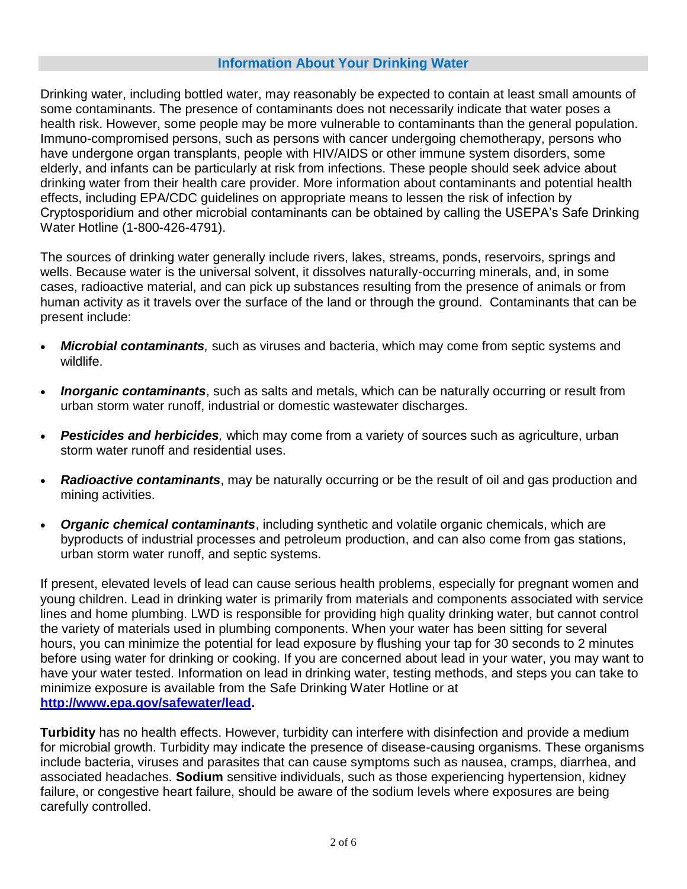# **Information About Your Drinking Water**

Drinking water, including bottled water, may reasonably be expected to contain at least small amounts of some contaminants. The presence of contaminants does not necessarily indicate that water poses a health risk. However, some people may be more vulnerable to contaminants than the general population. Immuno-compromised persons, such as persons with cancer undergoing chemotherapy, persons who have undergone organ transplants, people with HIV/AIDS or other immune system disorders, some elderly, and infants can be particularly at risk from infections. These people should seek advice about drinking water from their health care provider. More information about contaminants and potential health effects, including EPA/CDC guidelines on appropriate means to lessen the risk of infection by Cryptosporidium and other microbial contaminants can be obtained by calling the USEPA's Safe Drinking Water Hotline (1-800-426-4791).

The sources of drinking water generally include rivers, lakes, streams, ponds, reservoirs, springs and wells. Because water is the universal solvent, it dissolves naturally-occurring minerals, and, in some cases, radioactive material, and can pick up substances resulting from the presence of animals or from human activity as it travels over the surface of the land or through the ground. Contaminants that can be present include:

- *Microbial contaminants,* such as viruses and bacteria, which may come from septic systems and wildlife.
- *Inorganic contaminants*, such as salts and metals, which can be naturally occurring or result from urban storm water runoff, industrial or domestic wastewater discharges.
- **Pesticides and herbicides**, which may come from a variety of sources such as agriculture, urban storm water runoff and residential uses.
- *Radioactive contaminants*, may be naturally occurring or be the result of oil and gas production and mining activities.
- *Organic chemical contaminants*, including synthetic and volatile organic chemicals, which are byproducts of industrial processes and petroleum production, and can also come from gas stations, urban storm water runoff, and septic systems.

If present, elevated levels of lead can cause serious health problems, especially for pregnant women and young children. Lead in drinking water is primarily from materials and components associated with service lines and home plumbing. LWD is responsible for providing high quality drinking water, but cannot control the variety of materials used in plumbing components. When your water has been sitting for several hours, you can minimize the potential for lead exposure by flushing your tap for 30 seconds to 2 minutes before using water for drinking or cooking. If you are concerned about lead in your water, you may want to have your water tested. Information on lead in drinking water, testing methods, and steps you can take to minimize exposure is available from the Safe Drinking Water Hotline or at **[http://www.epa.gov/safewater/lead.](http://www.epa.gov/safewater/lead)**

**Turbidity** has no health effects. However, turbidity can interfere with disinfection and provide a medium for microbial growth. Turbidity may indicate the presence of disease-causing organisms. These organisms include bacteria, viruses and parasites that can cause symptoms such as nausea, cramps, diarrhea, and associated headaches. **Sodium** sensitive individuals, such as those experiencing hypertension, kidney failure, or congestive heart failure, should be aware of the sodium levels where exposures are being carefully controlled.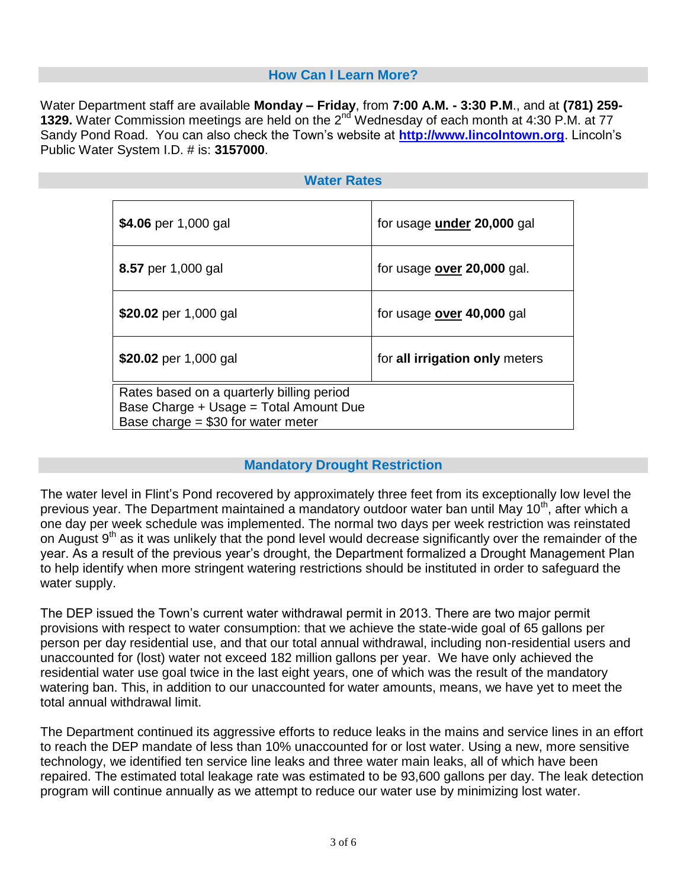# **How Can I Learn More?**

Water Department staff are available **Monday – Friday**, from **7:00 A.M. - 3:30 P.M**., and at **(781) 259- 1329.** Water Commission meetings are held on the 2<sup>nd</sup> Wednesday of each month at 4:30 P.M. at 77 Sandy Pond Road. You can also check the Town's website at **http://www.lincolntown.org**. Lincoln's Public Water System I.D. # is: **3157000**.

#### **Water Rates**

| \$4.06 per 1,000 gal                                                                                                       | for usage <b>under</b> 20,000 gal |
|----------------------------------------------------------------------------------------------------------------------------|-----------------------------------|
| 8.57 per 1,000 gal                                                                                                         | for usage over 20,000 gal.        |
| \$20.02 per 1,000 gal                                                                                                      | for usage over 40,000 gal         |
| \$20.02 per 1,000 gal                                                                                                      | for all irrigation only meters    |
| Rates based on a quarterly billing period<br>Base Charge + Usage = Total Amount Due<br>Base charge = $$30$ for water meter |                                   |

#### **Mandatory Drought Restriction**

The water level in Flint's Pond recovered by approximately three feet from its exceptionally low level the previous year. The Department maintained a mandatory outdoor water ban until May 10<sup>th</sup>, after which a one day per week schedule was implemented. The normal two days per week restriction was reinstated on August 9<sup>th</sup> as it was unlikely that the pond level would decrease significantly over the remainder of the year. As a result of the previous year's drought, the Department formalized a Drought Management Plan to help identify when more stringent watering restrictions should be instituted in order to safeguard the water supply.

The DEP issued the Town's current water withdrawal permit in 2013. There are two major permit provisions with respect to water consumption: that we achieve the state-wide goal of 65 gallons per person per day residential use, and that our total annual withdrawal, including non-residential users and unaccounted for (lost) water not exceed 182 million gallons per year. We have only achieved the residential water use goal twice in the last eight years, one of which was the result of the mandatory watering ban. This, in addition to our unaccounted for water amounts, means, we have yet to meet the total annual withdrawal limit.

The Department continued its aggressive efforts to reduce leaks in the mains and service lines in an effort to reach the DEP mandate of less than 10% unaccounted for or lost water. Using a new, more sensitive technology, we identified ten service line leaks and three water main leaks, all of which have been repaired. The estimated total leakage rate was estimated to be 93,600 gallons per day. The leak detection program will continue annually as we attempt to reduce our water use by minimizing lost water.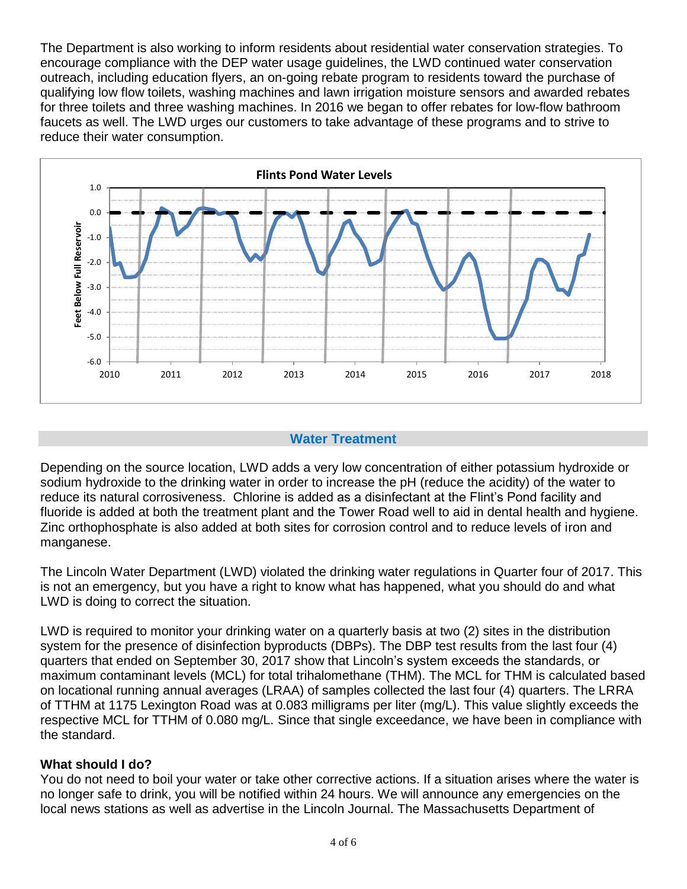The Department is also working to inform residents about residential water conservation strategies. To encourage compliance with the DEP water usage guidelines, the LWD continued water conservation outreach, including education flyers, an on-going rebate program to residents toward the purchase of qualifying low flow toilets, washing machines and lawn irrigation moisture sensors and awarded rebates for three toilets and three washing machines. In 2016 we began to offer rebates for low-flow bathroom faucets as well. The LWD urges our customers to take advantage of these programs and to strive to reduce their water consumption.



# **Water Treatment**

Depending on the source location, LWD adds a very low concentration of either potassium hydroxide or sodium hydroxide to the drinking water in order to increase the pH (reduce the acidity) of the water to reduce its natural corrosiveness. Chlorine is added as a disinfectant at the Flint's Pond facility and fluoride is added at both the treatment plant and the Tower Road well to aid in dental health and hygiene. Zinc orthophosphate is also added at both sites for corrosion control and to reduce levels of iron and manganese.

The Lincoln Water Department (LWD) violated the drinking water regulations in Quarter four of 2017. This is not an emergency, but you have a right to know what has happened, what you should do and what LWD is doing to correct the situation.

LWD is required to monitor your drinking water on a quarterly basis at two (2) sites in the distribution system for the presence of disinfection byproducts (DBPs). The DBP test results from the last four (4) quarters that ended on September 30, 2017 show that Lincoln's system exceeds the standards, or maximum contaminant levels (MCL) for total trihalomethane (THM). The MCL for THM is calculated based on locational running annual averages (LRAA) of samples collected the last four (4) quarters. The LRRA of TTHM at 1175 Lexington Road was at 0.083 milligrams per liter (mg/L). This value slightly exceeds the respective MCL for TTHM of 0.080 mg/L. Since that single exceedance, we have been in compliance with the standard.

#### **What should I do?**

You do not need to boil your water or take other corrective actions. If a situation arises where the water is no longer safe to drink, you will be notified within 24 hours. We will announce any emergencies on the local news stations as well as advertise in the Lincoln Journal. The Massachusetts Department of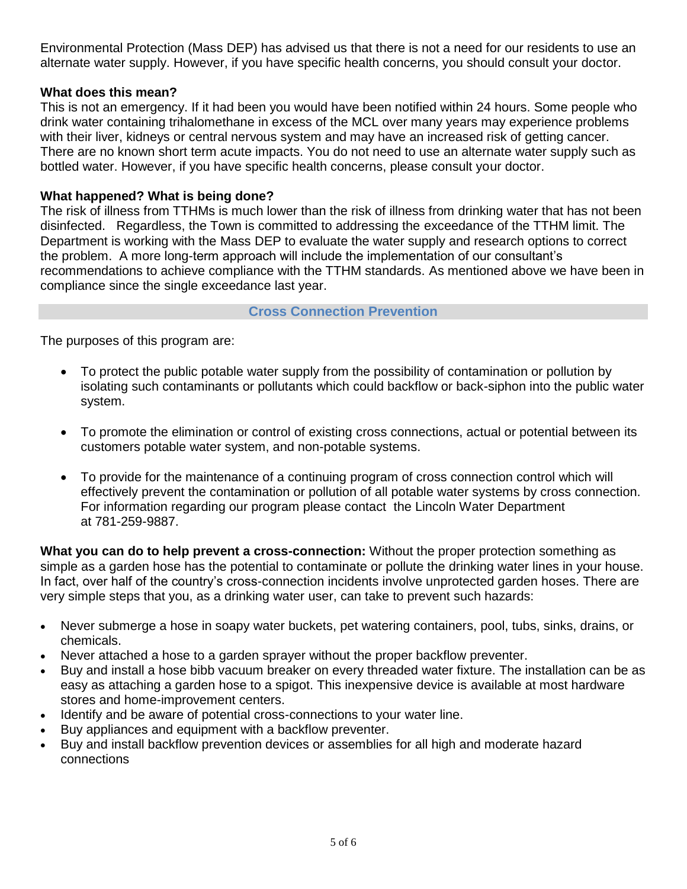Environmental Protection (Mass DEP) has advised us that there is not a need for our residents to use an alternate water supply. However, if you have specific health concerns, you should consult your doctor.

# **What does this mean?**

This is not an emergency. If it had been you would have been notified within 24 hours. Some people who drink water containing trihalomethane in excess of the MCL over many years may experience problems with their liver, kidneys or central nervous system and may have an increased risk of getting cancer. There are no known short term acute impacts. You do not need to use an alternate water supply such as bottled water. However, if you have specific health concerns, please consult your doctor.

# **What happened? What is being done?**

The risk of illness from TTHMs is much lower than the risk of illness from drinking water that has not been disinfected. Regardless, the Town is committed to addressing the exceedance of the TTHM limit. The Department is working with the Mass DEP to evaluate the water supply and research options to correct the problem. A more long-term approach will include the implementation of our consultant's recommendations to achieve compliance with the TTHM standards. As mentioned above we have been in compliance since the single exceedance last year.

# **Cross Connection Prevention**

The purposes of this program are:

- To protect the public potable water supply from the possibility of contamination or pollution by isolating such contaminants or pollutants which could backflow or back-siphon into the public water system.
- To promote the elimination or control of existing cross connections, actual or potential between its customers potable water system, and non-potable systems.
- To provide for the maintenance of a continuing program of cross connection control which will effectively prevent the contamination or pollution of all potable water systems by cross connection. For information regarding our program please contact the Lincoln Water Department at 781-259-9887.

**What you can do to help prevent a cross-connection:** Without the proper protection something as simple as a garden hose has the potential to contaminate or pollute the drinking water lines in your house. In fact, over half of the country's cross-connection incidents involve unprotected garden hoses. There are very simple steps that you, as a drinking water user, can take to prevent such hazards:

- Never submerge a hose in soapy water buckets, pet watering containers, pool, tubs, sinks, drains, or chemicals.
- Never attached a hose to a garden sprayer without the proper backflow preventer.
- Buy and install a hose bibb vacuum breaker on every threaded water fixture. The installation can be as easy as attaching a garden hose to a spigot. This inexpensive device is available at most hardware stores and home-improvement centers.
- Identify and be aware of potential cross-connections to your water line.
- Buy appliances and equipment with a backflow preventer.
- Buy and install backflow prevention devices or assemblies for all high and moderate hazard connections